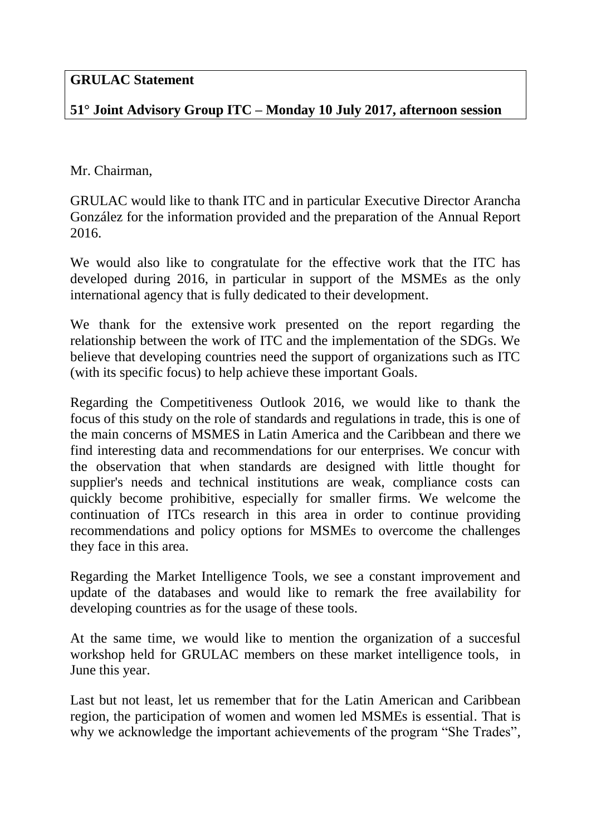## **GRULAC Statement**

## **51° Joint Advisory Group ITC – Monday 10 July 2017, afternoon session**

Mr. Chairman,

GRULAC would like to thank ITC and in particular Executive Director Arancha González for the information provided and the preparation of the Annual Report 2016.

We would also like to congratulate for the effective work that the ITC has developed during 2016, in particular in support of the MSMEs as the only international agency that is fully dedicated to their development.

We thank for the extensive work presented on the report regarding the relationship between the work of ITC and the implementation of the SDGs. We believe that developing countries need the support of organizations such as ITC (with its specific focus) to help achieve these important Goals.

Regarding the Competitiveness Outlook 2016, we would like to thank the focus of this study on the role of standards and regulations in trade, this is one of the main concerns of MSMES in Latin America and the Caribbean and there we find interesting data and recommendations for our enterprises. We concur with the observation that when standards are designed with little thought for supplier's needs and technical institutions are weak, compliance costs can quickly become prohibitive, especially for smaller firms. We welcome the continuation of ITCs research in this area in order to continue providing recommendations and policy options for MSMEs to overcome the challenges they face in this area.

Regarding the Market Intelligence Tools, we see a constant improvement and update of the databases and would like to remark the free availability for developing countries as for the usage of these tools.

At the same time, we would like to mention the organization of a succesful workshop held for GRULAC members on these market intelligence tools, in June this year.

Last but not least, let us remember that for the Latin American and Caribbean region, the participation of women and women led MSMEs is essential. That is why we acknowledge the important achievements of the program "She Trades",